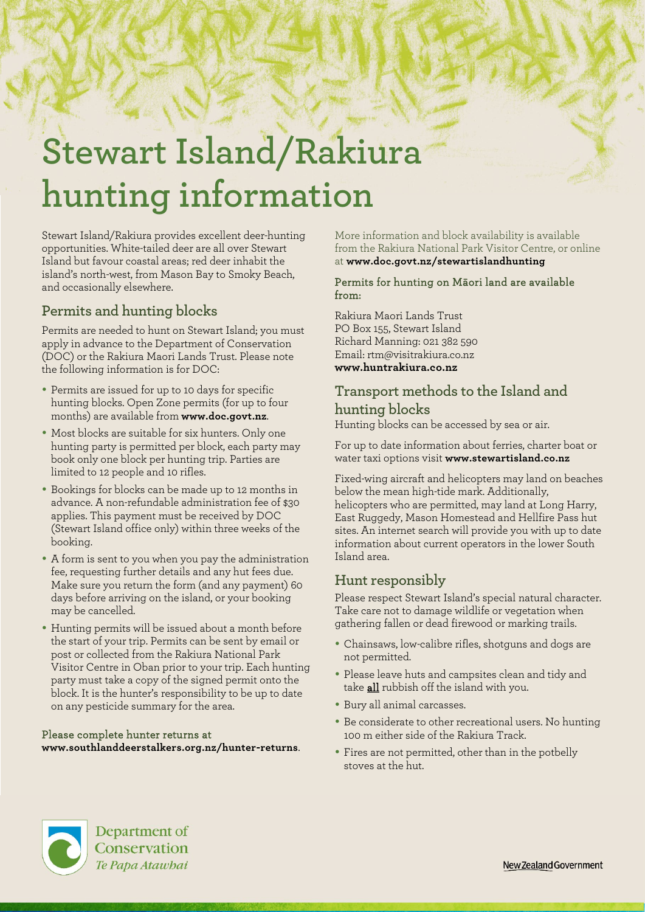# **Stewart Island/Rakiura hunting information**

Stewart Island/Rakiura provides excellent deer-hunting opportunities. White-tailed deer are all over Stewart Island but favour coastal areas; red deer inhabit the island's north-west, from Mason Bay to Smoky Beach, and occasionally elsewhere.

# **Permits and hunting blocks**

Permits are needed to hunt on Stewart Island; you must apply in advance to the Department of Conservation (DOC) or the Rakiura Maori Lands Trust. Please note the following information is for DOC:

- Permits are issued for up to 10 days for specific hunting blocks. Open Zone permits (for up to four months) are available from **[www.doc.govt.nz](file://wgnhosvr1/groups$/Publishing/1.%20Jobs/2.%20For%20General%20Edit/R93679%20Diana%20Morris%20-%20Update%20hunting%20info%20sheet/Text/www.doc.govt.nz)**.
- Most blocks are suitable for six hunters. Only one hunting party is permitted per block, each party may book only one block per hunting trip. Parties are limited to 12 people and 10 rifles.
- Bookings for blocks can be made up to 12 months in advance. A non-refundable administration fee of \$30 applies. This payment must be received by DOC (Stewart Island office only) within three weeks of the booking.
- A form is sent to you when you pay the administration fee, requesting further details and any hut fees due. Make sure you return the form (and any payment) 60 days before arriving on the island, or your booking may be cancelled.
- Hunting permits will be issued about a month before the start of your trip. Permits can be sent by email or post or collected from the Rakiura National Park Visitor Centre in Oban prior to your trip. Each hunting party must take a copy of the signed permit onto the block. It is the hunter's responsibility to be up to date on any pesticide summary for the area.

#### Please complete hunter returns at **[www.southlanddeerstalkers.org.nz/hunter-returns](http://www.southlanddeerstalkers.org.nz/hunter-returns)**.

More information and block availability is available from the Rakiura National Park Visitor Centre, or online at **[www.doc.govt.nz/stewartislandhunting](http://www.doc.govt.nz/stewartislandhunting)**

#### Permits for hunting on Māori land are available from:

Rakiura Maori Lands Trust PO Box 155, Stewart Island Richard Manning: 021 382 590 Email: rtm@visitrakiura.co.nz **[www.huntrakiura.co.nz](http://www.huntrakiura.co.nz/)**

# **Transport methods to the Island and hunting blocks**

Hunting blocks can be accessed by sea or air.

For up to date information about ferries, charter boat or water taxi options visit **[www.stewartisland.co.nz](http://www.stewartisland.co.nz/)**

Fixed-wing aircraft and helicopters may land on beaches below the mean high-tide mark. Additionally, helicopters who are permitted, may land at Long Harry, East Ruggedy, Mason Homestead and Hellfire Pass hut sites. An internet search will provide you with up to date information about current operators in the lower South Island area.

## **Hunt responsibly**

Please respect Stewart Island's special natural character. Take care not to damage wildlife or vegetation when gathering fallen or dead firewood or marking trails.

- Chainsaws, low-calibre rifles, shotguns and dogs are not permitted.
- Please leave huts and campsites clean and tidy and take **all** rubbish off the island with you.
- Bury all animal carcasses.
- Be considerate to other recreational users. No hunting 100 m either side of the Rakiura Track.
- Fires are not permitted, other than in the potbelly stoves at the hut.



Department of Conservation Te Papa Atawbai